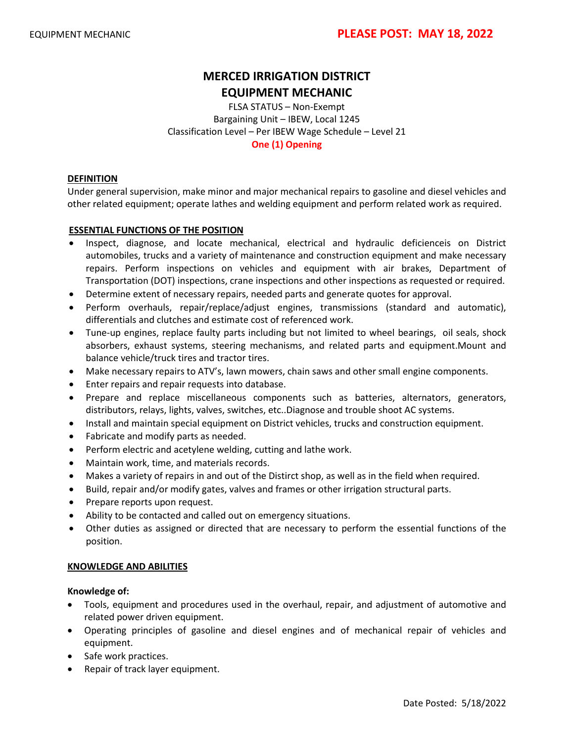# **MERCED IRRIGATION DISTRICT EQUIPMENT MECHANIC**

FLSA STATUS – Non-Exempt Bargaining Unit – IBEW, Local 1245 Classification Level – Per IBEW Wage Schedule – Level 21 **One (1) Opening**

#### **DEFINITION**

Under general supervision, make minor and major mechanical repairs to gasoline and diesel vehicles and other related equipment; operate lathes and welding equipment and perform related work as required.

### **ESSENTIAL FUNCTIONS OF THE POSITION**

- Inspect, diagnose, and locate mechanical, electrical and hydraulic deficienceis on District automobiles, trucks and a variety of maintenance and construction equipment and make necessary repairs. Perform inspections on vehicles and equipment with air brakes, Department of Transportation (DOT) inspections, crane inspections and other inspections as requested or required.
- Determine extent of necessary repairs, needed parts and generate quotes for approval.
- Perform overhauls, repair/replace/adjust engines, transmissions (standard and automatic), differentials and clutches and estimate cost of referenced work.
- Tune-up engines, replace faulty parts including but not limited to wheel bearings, oil seals, shock absorbers, exhaust systems, steering mechanisms, and related parts and equipment.Mount and balance vehicle/truck tires and tractor tires.
- Make necessary repairs to ATV's, lawn mowers, chain saws and other small engine components.
- Enter repairs and repair requests into database.
- Prepare and replace miscellaneous components such as batteries, alternators, generators, distributors, relays, lights, valves, switches, etc..Diagnose and trouble shoot AC systems.
- Install and maintain special equipment on District vehicles, trucks and construction equipment.
- Fabricate and modify parts as needed.
- Perform electric and acetylene welding, cutting and lathe work.
- Maintain work, time, and materials records.
- Makes a variety of repairs in and out of the Distirct shop, as well as in the field when required.
- Build, repair and/or modify gates, valves and frames or other irrigation structural parts.
- Prepare reports upon request.
- Ability to be contacted and called out on emergency situations.
- Other duties as assigned or directed that are necessary to perform the essential functions of the position.

#### **KNOWLEDGE AND ABILITIES**

#### **Knowledge of:**

- Tools, equipment and procedures used in the overhaul, repair, and adjustment of automotive and related power driven equipment.
- Operating principles of gasoline and diesel engines and of mechanical repair of vehicles and equipment.
- Safe work practices.
- Repair of track layer equipment.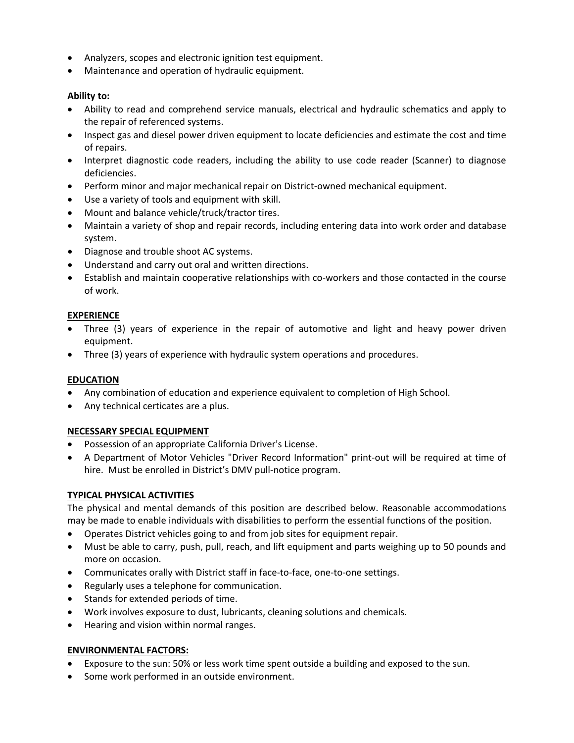- Analyzers, scopes and electronic ignition test equipment.
- Maintenance and operation of hydraulic equipment.

## **Ability to:**

- Ability to read and comprehend service manuals, electrical and hydraulic schematics and apply to the repair of referenced systems.
- Inspect gas and diesel power driven equipment to locate deficiencies and estimate the cost and time of repairs.
- Interpret diagnostic code readers, including the ability to use code reader (Scanner) to diagnose deficiencies.
- Perform minor and major mechanical repair on District-owned mechanical equipment.
- Use a variety of tools and equipment with skill.
- Mount and balance vehicle/truck/tractor tires.
- Maintain a variety of shop and repair records, including entering data into work order and database system.
- Diagnose and trouble shoot AC systems.
- Understand and carry out oral and written directions.
- Establish and maintain cooperative relationships with co-workers and those contacted in the course of work.

## **EXPERIENCE**

- Three (3) years of experience in the repair of automotive and light and heavy power driven equipment.
- Three (3) years of experience with hydraulic system operations and procedures.

## **EDUCATION**

- Any combination of education and experience equivalent to completion of High School.
- Any technical certicates are a plus.

## **NECESSARY SPECIAL EQUIPMENT**

- Possession of an appropriate California Driver's License.
- A Department of Motor Vehicles "Driver Record Information" print-out will be required at time of hire. Must be enrolled in District's DMV pull-notice program.

# **TYPICAL PHYSICAL ACTIVITIES**

The physical and mental demands of this position are described below. Reasonable accommodations may be made to enable individuals with disabilities to perform the essential functions of the position.

- Operates District vehicles going to and from job sites for equipment repair.
- Must be able to carry, push, pull, reach, and lift equipment and parts weighing up to 50 pounds and more on occasion.
- Communicates orally with District staff in face-to-face, one-to-one settings.
- Regularly uses a telephone for communication.
- Stands for extended periods of time.
- Work involves exposure to dust, lubricants, cleaning solutions and chemicals.
- Hearing and vision within normal ranges.

## **ENVIRONMENTAL FACTORS:**

- Exposure to the sun: 50% or less work time spent outside a building and exposed to the sun.
- Some work performed in an outside environment.